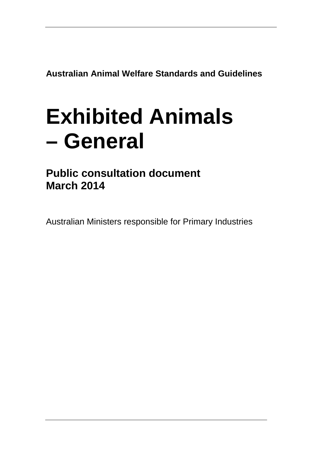**Australian Animal Welfare Standards and Guidelines**

# **Exhibited Animals – General**

**Public consultation document March 2014**

Australian Ministers responsible for Primary Industries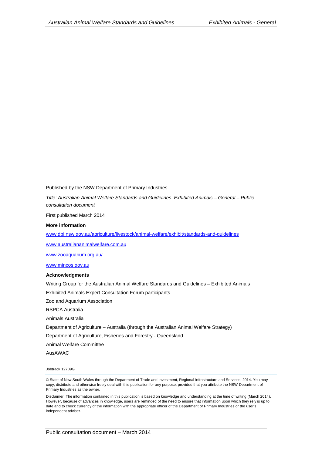Published by the NSW Department of Primary Industries

*Title: Australian Animal Welfare Standards and Guidelines. Exhibited Animals – General – Public consultation document*

First published March 2014

#### **More information**

[www.dpi.nsw.gov.au/agriculture/livestock/animal-welfare/exhibit/standards-and-guidelines](http://www.dpi.nsw.gov.au/agriculture/livestock/animal-welfare/exhibit/standards-and-guidelines) 

[www.australiananimalwelfare.com.au](http://www.australiananimalwelfare.com.au/)

[www.zooaquarium.org.au/](http://www.zooaquarium.org.au/)

[www.mincos.gov.au](http://www.mincos.gov.au/)

#### **Acknowledgments**

Writing Group for the Australian Animal Welfare Standards and Guidelines – Exhibited Animals

Exhibited Animals Expert Consultation Forum participants

Zoo and Aquarium Association

RSPCA Australia

Animals Australia

Department of Agriculture – Australia (through the Australian Animal Welfare Strategy)

Department of Agriculture, Fisheries and Forestry - Queensland

Animal Welfare Committee

AusAWAC

Jobtrack 12709G

© State of New South Wales through the Department of Trade and Investment, Regional Infrastructure and Services, 2014. You may copy, distribute and otherwise freely deal with this publication for any purpose, provided that you attribute the NSW Department of Primary Industries as the owner.

Disclaimer: The information contained in this publication is based on knowledge and understanding at the time of writing (March 2014). However, because of advances in knowledge, users are reminded of the need to ensure that information upon which they rely is up to date and to check currency of the information with the appropriate officer of the Department of Primary Industries or the user's independent adviser.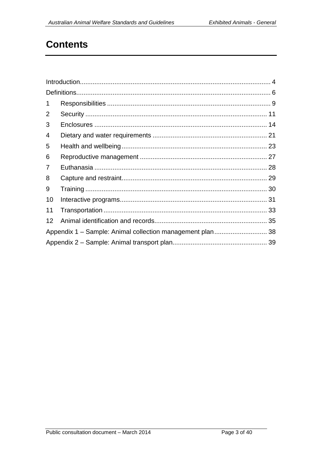# **Contents**

| 1              |                                                           |  |  |  |
|----------------|-----------------------------------------------------------|--|--|--|
| 2              |                                                           |  |  |  |
| 3              |                                                           |  |  |  |
| 4              |                                                           |  |  |  |
| 5              |                                                           |  |  |  |
| 6              |                                                           |  |  |  |
| $\overline{7}$ |                                                           |  |  |  |
| 8              |                                                           |  |  |  |
| 9              |                                                           |  |  |  |
| 10             |                                                           |  |  |  |
| 11             |                                                           |  |  |  |
| 12             |                                                           |  |  |  |
|                | Appendix 1 - Sample: Animal collection management plan 38 |  |  |  |
|                |                                                           |  |  |  |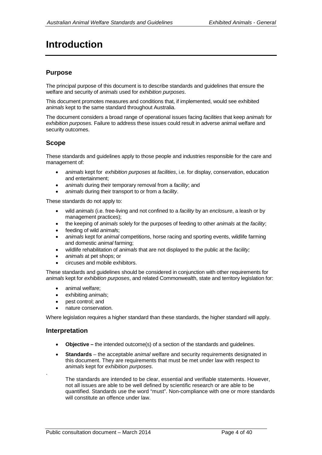# <span id="page-4-0"></span>**Introduction**

# **Purpose**

The principal purpose of this document is to describe standards and guidelines that ensure the welfare and security of *animals* used for *exhibition purposes*.

This document promotes measures and conditions that, if implemented, would see exhibited *animals* kept to the same standard throughout Australia.

The document considers a broad range of operational issues facing *facilities* that keep *animals* for *exhibition purposes.* Failure to address these issues could result in adverse animal welfare and security outcomes.

# **Scope**

These standards and guidelines apply to those people and industries responsible for the care and management of:

- *animals* kept for *exhibition purposes* at *facilities*, i.e. for display, conservation, education and entertainment;
- *animals* during their temporary removal from a *facility*; and
- *animals* during their transport to or from a *facility*.

These standards do not apply to:

- wild *animals* (i.e. free-living and not confined to a *facility* by an *enclosure*, a leash or by management practices);
- the keeping of *animals* solely for the purposes of feeding to other *animals* at the *facility*;
- feeding of wild *animal*s;
- *animals* kept for *animal* competitions, horse racing and sporting events, wildlife farming and domestic *animal* farming;
- wildlife rehabilitation of *animals* that are not displayed to the public at the *facility;*
- *animals* at pet shops; or
- circuses and mobile exhibitors.

These standards and guidelines should be considered in conjunction with other requirements for *animals* kept for *exhibition purposes*, and related Commonwealth, state and territory legislation for:

- animal welfare:
- exhibiting *animals*;
- pest control; and
- nature conservation.

Where legislation requires a higher standard than these standards, the higher standard will apply.

### **Interpretation**

.

- **Objective –** the intended outcome(s) of a section of the standards and guidelines.
- **Standards** the acceptable *animal* welfare and security requirements designated in this document. They are requirements that must be met under law with respect to *animals* kept for *exhibition purposes*.

The standards are intended to be clear, essential and verifiable statements. However, not all issues are able to be well defined by scientific research or are able to be quantified. Standards use the word "must". Non-compliance with one or more standards will constitute an offence under law.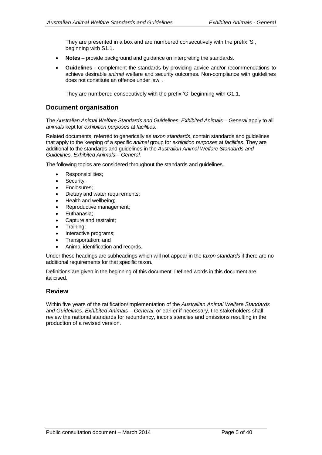They are presented in a box and are numbered consecutively with the prefix 'S', beginning with S1.1.

- **Notes** *–* provide background and guidance on interpreting the standards.
- **Guidelines** complement the standards by providing advice and/or recommendations to achieve desirable *animal* welfare and security outcomes. Non-compliance with guidelines does not constitute an offence under law. .

They are numbered consecutively with the prefix 'G' beginning with G1.1.

# **Document organisation**

The *Australian Animal Welfare Standards and Guidelines. Exhibited Animals – General* apply to all *animals* kept for *exhibition purposes* at *facilities*.

Related documents, referred to generically as *taxon standards*, contain standards and guidelines that apply to the keeping of a specific *animal* group for *exhibition purposes* at *facilities*. They are additional to the standards and guidelines in the *Australian Animal Welfare Standards and Guidelines. Exhibited Animals – General.*

The following topics are considered throughout the standards and guidelines.

- Responsibilities;
- Security:
- Enclosures;
- Dietary and water requirements;
- Health and wellbeing;
- Reproductive management;
- Euthanasia;
- Capture and restraint;
- Training;
- Interactive programs;
- Transportation; and
- Animal identification and records.

Under these headings are subheadings which will not appear in the *taxon standards* if there are no additional requirements for that specific taxon.

Definitions are given in the beginning of this document. Defined words in this document are italicised.

### **Review**

Within five years of the ratification/implementation of the *Australian Animal Welfare Standards and Guidelines. Exhibited Animals – General*, or earlier if necessary, the stakeholders shall review the national standards for redundancy, inconsistencies and omissions resulting in the production of a revised version.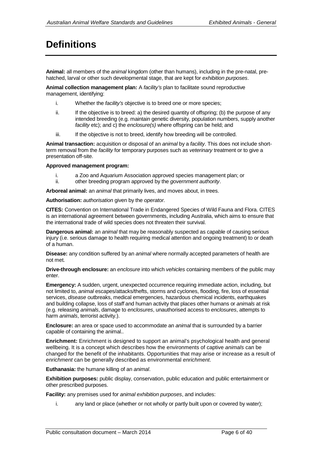# <span id="page-6-0"></span>**Definitions**

**Animal:** all members of the *animal* kingdom (other than humans), including in the pre-natal, prehatched, larval or other such developmental stage, that are kept for *exhibition purposes*.

**Animal collection management plan:** A *facility's* plan to facilitate sound reproductive management, identifying:

- i. Whether the *facility's* objective is to breed one or more species;
- ii. If the objective is to breed: a) the desired quantity of offspring; (b) the purpose of any intended breeding (e.g. maintain genetic diversity, population numbers, supply another *facility* etc); and c) the *enclosure(s)* where offspring can be held; and
- iii. If the objective is not to breed, identify how breeding will be controlled.

**Animal transaction:** acquisition or disposal of an *animal* by a *facility*. This does not include shortterm removal from the *facility* for temporary purposes such as *veterinary* treatment or to give a presentation off-site.

#### **Approved management program:**

- i. a Zoo and Aquarium Association approved species management plan; or
- ii. other breeding program approved by the *government authority*.

**Arboreal animal:** an *animal* that primarily lives, and moves about, in trees.

**Authorisation:** *authorisation* given by the *operator.*

**CITES:** Convention on International Trade in Endangered Species of Wild Fauna and Flora. CITES is an international agreement between governments, including Australia, which aims to ensure that the international trade of wild species does not threaten their survival.

**Dangerous animal:** an *animal* that may be reasonably suspected as capable of causing serious injury (i.e. serious damage to health requiring medical attention and ongoing treatment) to or death of a human.

**Disease:** any condition suffered by an *animal* where normally accepted parameters of health are not met.

**Drive-through enclosure:** an *enclosure* into which *vehicles* containing members of the public may enter.

**Emergency:** A sudden, urgent, unexpected occurrence requiring immediate action, including, but not limited to, *animal* escapes/attacks/thefts, storms and cyclones, flooding, fire, loss of essential services, *disease* outbreaks, medical emergencies, hazardous chemical incidents, earthquakes and building collapse, loss of *staff* and human activity that places other humans or *animals* at risk (e.g. releasing *animals*, damage to *enclosures*, unauthorised access to *enclosures*, attempts to harm *animals*, terrorist activity.).

**Enclosure:** an area or space used to accommodate an *animal* that is surrounded by a barrier capable of containing the animal..

**Enrichment:** Enrichment is designed to support an animal's psychological health and general wellbeing. It is a concept which describes how the environments of captive *animals* can be changed for the benefit of the inhabitants. Opportunities that may arise or increase as a result of *enrichment* can be generally described as environmental *enrichment*.

**Euthanasia:** the humane killing of an *animal*.

**Exhibition purposes:** public display, conservation, public education and public entertainment or other prescribed purposes.

**Facility:** any premises used for *animal exhibition purposes*, and includes:

i. any land or place (whether or not wholly or partly built upon or covered by water);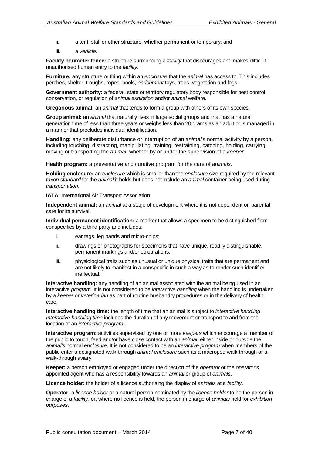- ii. a tent, stall or other structure, whether permanent or temporary; and
- iii. a *vehicle*.

**Facility perimeter fence:** a structure surrounding a *facility* that discourages and makes difficult unauthorised human entry to the *facility*.

**Furniture:** any structure or thing within an *enclosure* that the *animal* has access to. This includes perches, shelter, troughs, ropes, pools, *enrichment* toys, trees, vegetation and logs.

**Government authority:** a federal, state or territory regulatory body responsible for pest control, conservation, or regulation of *animal exhibition* and/or *animal* welfare.

**Gregarious animal:** an *animal* that tends to form a group with others of its own species.

**Group animal:** an *animal* that naturally lives in large social groups and that has a natural generation time of less than three years or weighs less than 20 grams as an adult or is managed in a manner that precludes individual identification.

**Handling:** any deliberate disturbance or interruption of an *animal*'*s* normal activity by a person, including touching, distracting, manipulating, training, restraining, catching, holding, carrying, moving or transporting the *animal*, whether by or under the supervision of a *keeper.*

**Health program:** a preventative and curative program for the care of *animals*.

**Holding enclosure:** an *enclosure* which is smaller than the *enclosure* size required by the relevant *taxon standard* for the *animal* it holds but does not include an *animal* container being used during *transportation*.

**IATA: International Air Transport Association.** 

**Independent animal:** an *animal* at a stage of development where it is not dependent on parental care for its survival.

**Individual permanent identification:** a marker that allows a specimen to be distinguished from conspecifics by a third party and includes:

- i. ear tags, leg bands and micro-chips;
- ii. drawings or photographs for specimens that have unique, readily distinguishable, permanent markings and/or colourations;
- iii. physiological traits such as unusual or unique physical traits that are permanent and are not likely to manifest in a conspecific in such a way as to render such identifier ineffectual.

**Interactive handling:** any handling of an animal associated with the animal being used in an interactive *program.* It is not considered to be *interactive handling* when the handling is undertaken by a *keeper* or *veterinarian* as part of routine husbandry procedures or in the delivery of health care.

**Interactive handling time:** the length of time that an animal is subject to *interactive handling*. *Interactive handling time* includes the duration of any movement or transport to and from the location of an *interactive program*.

**Interactive program:** activities supervised by one or more *keepers* which encourage a member of the public to touch, feed and/or have close contact with an *animal*, either inside or outside the *animal's* normal *enclosure*. It is not considered to be an *interactive program* when members of the public enter a designated walk-through *animal enclosure* such as a macropod walk-through or a walk-through aviary.

**Keeper:** a person employed or engaged under the direction of the *operator* or the *operator's* appointed agent who has a responsibility towards an *animal* or group of *animals*.

**Licence holder:** the holder of a licence authorising the display of *animals* at a *facility*.

**Operator:** a *licence holder* or a natural person nominated by the *licence holder* to be the person in charge of a *facility*, or, where no licence is held, the person in charge of *animals* held for *exhibition purposes*.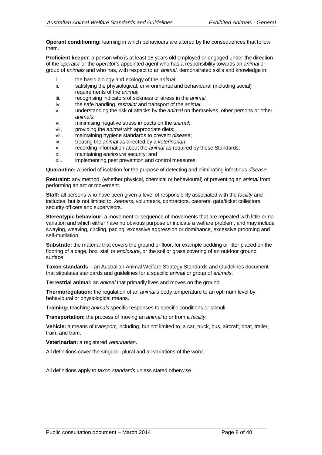**Operant conditioning:** learning in which behaviours are altered by the consequences that follow them.

**Proficient keeper**: a person who is at least 18 years old employed or engaged under the direction of the *operator* or the *operator*'s appointed agent who has a responsibility towards an *animal* or group of *animals* and who has, with respect to an *animal*, demonstrated skills and knowledge in:

- i. the basic biology and ecology of the *animal*;<br>ii. satisfying the physiological, environmental a
- satisfying the physiological, environmental and behavioural (including social) requirements of the *animal*;
- iii. recognising indicators of sickness or stress in the *animal*;<br>iv. the safe handling, *restraint* and transport of the *animal*:
- the safe handling, *restraint* and transport of the *animal*;
- v. understanding the risk of attacks by the *animal* on themselves, other persons or other *animals*;
- vi. minimising negative stress impacts on the *animal*;
- providing the *animal* with appropriate diets;
- viii. maintaining hygiene standards to prevent *disease*;
- treating the *animal* as directed by a *veterinarian*;
- x. recording information about the *animal* as required by these Standards;
- xi. maintaining *enclosure* security; and
- xii. implementing pest prevention and control measures.

**Quarantine:** a period of isolation for the purpose of detecting and eliminating infectious *disease*.

**Restraint:** any method, (whether physical, chemical or behavioural) of preventing an *animal* from performing an act or movement.

**Staff:** all persons who have been given a level of responsibility associated with the *facility* and includes, but is not limited to, *keepers*, volunteers, contractors, caterers, gate/ticket collectors, security officers and supervisors.

**Stereotypic behaviour:** a movement or sequence of movements that are repeated with little or no variation and which either have no obvious purpose or indicate a welfare problem, and may include swaying, weaving, circling, pacing, excessive aggression or dominance, excessive grooming and self-mutilation.

**Substrate:** the material that covers the ground or floor, for example bedding or litter placed on the flooring of a cage, box, stall or *enclosure*, or the soil or grass covering of an outdoor ground surface.

**Taxon standards –** an Australian Animal Welfare Strategy Standards and Guidelines document that stipulates standards and guidelines for a specific *animal* or group of *animals*.

**Terrestrial animal:** an *animal* that primarily lives and moves on the ground.

**Thermoregulation:** the regulation of an *animal*'s body temperature to an optimum level by behavioural or physiological means.

**Training:** teaching *animals* specific responses to specific conditions or stimuli.

**Transportation:** the process of moving an *animal* to or from a *facility*.

**Vehicle:** a means of *transport*, including, but not limited to, a car, truck, bus, aircraft, boat, trailer, train, and tram.

**Veterinarian:** a registered *veterinarian*.

All definitions cover the singular, plural and all variations of the word.

All definitions apply to *taxon standards* unless stated otherwise.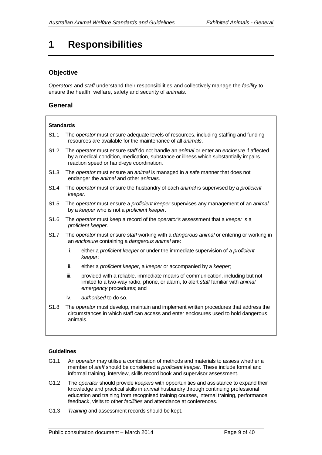# <span id="page-9-0"></span>**1 Responsibilities**

# **Objective**

*Operators* and *staff* understand their responsibilities and collectively manage the *facility* to ensure the health, welfare, safety and security of *animals*.

## **General**

#### **Standards**

- S1.1 The *operator* must ensure adequate levels of resources, including staffing and funding resources are available for the maintenance of all *animals*.
- S1.2 The *operator* must ensure *staff* do not handle an *animal* or enter an *enclosure* if affected by a medical condition, medication, substance or illness which substantially impairs reaction speed or hand-eye coordination.
- S1.3 The *operator* must ensure an *animal* is managed in a safe manner that does not endanger the *animal* and other *animals*.
- S1.4 The *operator* must ensure the husbandry of each *animal* is supervised by a *proficient keeper*.
- S1.5 The *operator* must ensure a *proficient keeper* supervises any management of an *animal* by a *keeper* who is not a *proficient keeper*.
- S1.6 The *operator* must keep a record of the *operator's* assessment that a *keeper* is a *proficient keeper*.
- S1.7 The *operator* must ensure *staff* working with a *dangerous animal* or entering or working in an *enclosure* containing a *dangerous animal* are:
	- i. either a *proficient keeper* or under the immediate supervision of a *proficient keeper*;
	- ii. either a *proficient keeper*, a *keeper* or accompanied by a *keeper*;
	- iii. provided with a reliable, immediate means of communication, including but not limited to a two-way radio, phone, or alarm, to alert *staff* familiar with *animal emergency* procedures; and
	- iv. *authorised* to do so.
- S1.8 The *operator* must develop, maintain and implement written procedures that address the circumstances in which staff can access and enter enclosures used to hold dangerous animals.

- G1.1 An *operator* may utilise a combination of methods and materials to assess whether a member of *staff* should be considered a *proficient keeper*. These include formal and informal training, interview, skills record book and supervisor assessment.
- G1.2 The *operator* should provide *keepers* with opportunities and assistance to expand their knowledge and practical skills in *animal* husbandry through continuing professional education and training from recognised training courses, internal training, performance feedback, visits to other *facilities* and attendance at conferences.
- G1.3 *Training* and assessment records should be kept.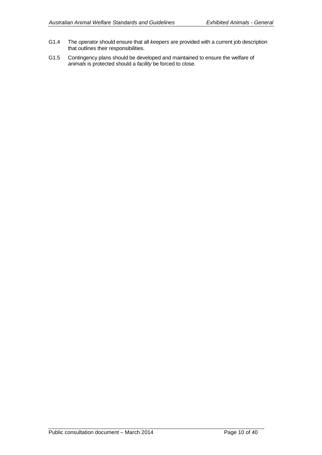- G1.4 The *operator* should ensure that all *keepers* are provided with a current job description that outlines their responsibilities.
- G1.5 Contingency plans should be developed and maintained to ensure the welfare of *animals* is protected should a *facility* be forced to close.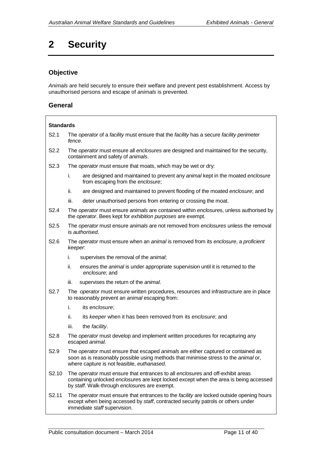# <span id="page-11-0"></span>**2 Security**

# **Objective**

*Animals* are held securely to ensure their welfare and prevent pest establishment. Access by unauthorised persons and escape of *animals* is prevented.

## **General**

# **Standards** S2.1 The *operator* of a *facility* must ensure that the *facility* has a secure *facility perimeter fence*. S2.2 The *operator* must ensure all *enclosures* are designed and maintained for the security, containment and safety of *animals*. S2.3 The *operator* must ensure that moats, which may be wet or dry: i. are designed and maintained to prevent any *animal* kept in the moated *enclosure* from escaping from the *enclosure*; ii. are designed and maintained to prevent flooding of the moated *enclosure*; and iii. deter unauthorised persons from entering or crossing the moat. S2.4 The *operator* must ensure *animals* are contained within *enclosure*s, unless authorised by the *operator*. Bees kept for *exhibition purposes* are exempt. S2.5 The *operator* must ensure *animals* are not removed from *enclosures* unless the removal is *authorised*. S2.6 The *operator* must ensure when an *animal* is removed from its *enclosure*, a *proficient keeper*: i. supervises the removal of the *animal*; ii. ensures the *animal* is under appropriate supervision until it is returned to the *enclosure*; and iii. supervises the return of the *animal*. S2.7 The *operator* must ensure written procedures, resources and infrastructure are in place to reasonably prevent an *animal* escaping from: i. its *enclosure*; ii. its *keeper* when it has been removed from its *enclosure*; and iii. the *facility*. S2.8 The *operator* must develop and implement written procedures for recapturing any escaped *animal*. S2.9 The *operator* must ensure that escaped *animals* are either captured or contained as soon as is reasonably possible using methods that minimise stress to the *animal* or, where capture is not feasible, *euthanased*. S2.10 The *operator* must ensure that entrances to all *enclosure*s and off-exhibit areas containing unlocked *enclosure*s are kept locked except when the area is being accessed by *staff*. Walk-through *enclosure*s are exempt. S2.11 The *operator* must ensure that entrances to the *facility* are locked outside opening hours except when being accessed by *staff*, contracted security patrols or others under immediate *staff* supervision.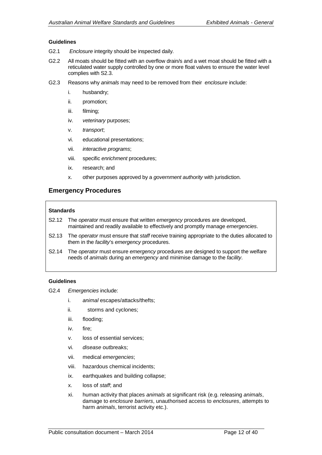#### **Guidelines**

- G2.1 *Enclosure* integrity should be inspected daily.
- G2.2 All moats should be fitted with an overflow drain/s and a wet moat should be fitted with a reticulated water supply controlled by one or more float valves to ensure the water level complies with S2.3.
- G2.3 Reasons why *animals* may need to be removed from their *enclosure* include:
	- i. husbandry;
	- ii. promotion;
	- iii. filming;
	- iv. *veterinary* purposes;
	- v. *transport*;
	- vi. educational presentations;
	- vii. *interactive programs*;
	- viii. specific *enrichment* procedures;
	- ix. research; and
	- x. other purposes approved by a *government authority* with jurisdiction.

### **Emergency Procedures**

#### **Standards**

- S2.12 The *operator* must ensure that written *emergency* procedures are developed, maintained and readily available to effectively and promptly manage *emergencies*.
- S2.13 The *operator* must ensure that *staff* receive training appropriate to the duties allocated to them in the *facility*'s *emergency* procedures.
- S2.14 The *operator* must ensure *emergency* procedures are designed to support the welfare needs of *animals* during an *emergency* and minimise damage to the *facility*.

- G2.4 *Emergencies* include:
	- i. *animal* escapes/attacks/thefts;
	- ii. storms and cyclones;
	- iii. flooding;
	- iv. fire;
	- v. loss of essential services;
	- vi. *disease* outbreaks;
	- vii. medical *emergencies*;
	- viii. hazardous chemical incidents;
	- ix. earthquakes and building collapse;
	- x. loss of *staff*; and
	- xi. human activity that places *animals* at significant risk (e.g. releasing *animals*, damage to *enclosure barriers*, unauthorised access to *enclosures*, attempts to harm *animals*, terrorist activity etc.).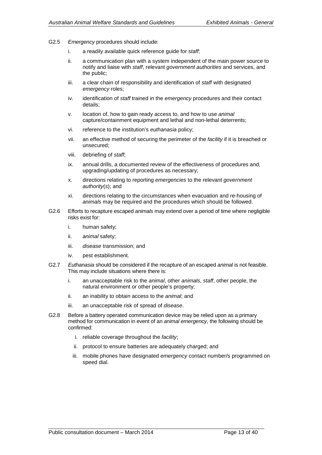- G2.5 *Emergency* procedures should include:
	- i. a readily available quick reference guide for *staff*;
	- ii. a communication plan with a system independent of the main power source to notify and liaise with *staff*, relevant *government authorities* and services, and the public;
	- iii. a clear chain of responsibility and identification of *staff* with designated *emergency* roles;
	- iv. identification of *staff* trained in the *emergency* procedures and their contact details;
	- v. location of, how to gain ready access to, and how to use *animal* capture/containment equipment and lethal and non-lethal deterrents;
	- vi. reference to the institution's *euthanasia* policy;
	- vii. an effective method of securing the perimeter of the *facility* if it is breached or unsecured;
	- viii. debriefing of *staff*;
	- ix. annual drills, a documented review of the effectiveness of procedures and, upgrading/updating of procedures as necessary;
	- x. directions relating to reporting *emergencies* to the relevant *government authority*(*s*); and
	- xi. directions relating to the circumstances when evacuation and re-housing of *animals* may be required and the procedures which should be followed.
- G2.6 Efforts to recapture escaped *animals* may extend over a period of time where negligible risks exist for:
	- i. human safety;
	- ii. *animal* safety;
	- iii. *disease* transmission; and
	- iv. pest establishment.
- G2.7 *Euthanasia* should be considered if the recapture of an escaped *animal* is not feasible. This may include situations where there is:
	- i. an unacceptable risk to the *animal*, other *animals*, *staff*, other people, the natural environment or other people's property;
	- ii. an inability to obtain access to the *animal*; and
	- iii. an unacceptable risk of spread of *disease*.
- G2.8 Before a battery operated communication device may be relied upon as a primary method for communication in event of an *animal emergency*, the following should be confirmed:
	- i. reliable coverage throughout the *facility*;
	- ii. protocol to ensure batteries are adequately charged; and
	- iii. mobile phones have designated *emergency* contact number/s programmed on speed dial.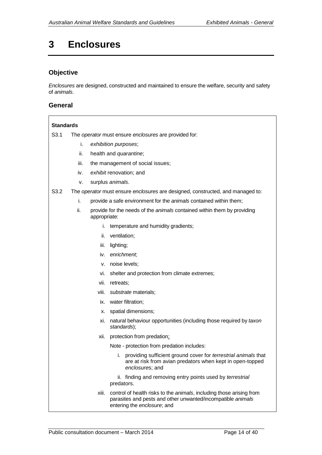# <span id="page-14-0"></span>**3 Enclosures**

# **Objective**

*Enclosures* are designed, constructed and maintained to ensure the welfare, security and safety of *animals*.

### **General**

### **Standards**

S3.1 The *operator* must ensure *enclosures* are provided for:

- i. *exhibition purposes*;
- ii. health and *quarantine*;
- iii. the management of social issues;
- iv. *exhibit* renovation; and
- v. surplus *animals*.

#### S3.2 The *operator* must ensure *enclosures* are designed, constructed, and managed to:

- i. provide a safe environment for the *animals* contained within them;
- ii. provide for the needs of the *animals* contained within them by providing appropriate:
	- i. temperature and humidity gradients;
	- ii. ventilation;
	- iii. lighting;
	- iv. *enrichment*;
	- v. noise levels;
	- vi. shelter and protection from climate extremes;
	- vii. retreats;
	- viii. *substrate* materials;
	- ix. water filtration;
	- x. spatial dimensions;
	- xi. natural behaviour opportunities (including those required by *taxon standards*);
	- xii. protection from predation;
		- Note protection from predation includes:
			- i. providing sufficient ground cover for *terrestrial animals* that are at risk from avian predators when kept in open-topped *enclosure*s; and

ii. finding and removing entry points used by *terrestrial* predators.

xiii. control of health risks to the *animals*, including those arising from parasites and pests and other unwanted/incompatible *animals* entering the *enclosure*; and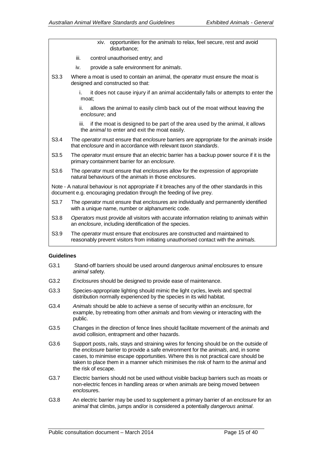|                  | xiv. opportunities for the animals to relax, feel secure, rest and avoid<br>disturbance:                                                                                 |
|------------------|--------------------------------------------------------------------------------------------------------------------------------------------------------------------------|
|                  | iii.<br>control unauthorised entry; and                                                                                                                                  |
|                  | provide a safe environment for animals.<br>iv.                                                                                                                           |
| S <sub>3.3</sub> | Where a moat is used to contain an animal, the operator must ensure the moat is<br>designed and constructed so that:                                                     |
|                  | it does not cause injury if an animal accidentally falls or attempts to enter the<br>i.<br>moat:                                                                         |
|                  | ii.<br>allows the animal to easily climb back out of the moat without leaving the<br>enclosure; and                                                                      |
|                  | if the moat is designed to be part of the area used by the animal, it allows<br>iii.<br>the animal to enter and exit the moat easily.                                    |
| S <sub>3.4</sub> | The operator must ensure that enclosure barriers are appropriate for the animals inside<br>that enclosure and in accordance with relevant taxon standards.               |
| S3.5             | The operator must ensure that an electric barrier has a backup power source if it is the<br>primary containment barrier for an enclosure.                                |
| S <sub>3.6</sub> | The operator must ensure that enclosures allow for the expression of appropriate<br>natural behaviours of the animals in those enclosures.                               |
|                  | Note - A natural behaviour is not appropriate if it breaches any of the other standards in this<br>document e.g. encouraging predation through the feeding of live prey. |
| S <sub>3.7</sub> | The operator must ensure that enclosures are individually and permanently identified<br>with a unique name, number or alphanumeric code.                                 |
| S3.8             | Operators must provide all visitors with accurate information relating to animals within<br>an enclosure, including identification of the species.                       |
| S3.9             | The operator must ensure that enclosures are constructed and maintained to<br>reasonably prevent visitors from initiating unauthorised contact with the animals.         |
|                  |                                                                                                                                                                          |

- G3.1 Stand-off barriers should be used around *dangerous animal enclosure*s to ensure *animal* safety.
- G3.2 *Enclosure*s should be designed to provide ease of maintenance.
- G3.3 Species-appropriate lighting should mimic the light cycles, levels and spectral distribution normally experienced by the species in its wild habitat.
- G3.4 *Animals* should be able to achieve a sense of security within an *enclosure*, for example, by retreating from other *animals* and from viewing or interacting with the public.
- G3.5 Changes in the direction of fence lines should facilitate movement of the *animals* and avoid collision, entrapment and other hazards.
- G3.6 Support posts, rails, stays and straining wires for fencing should be on the outside of the *enclosure* barrier to provide a safe environment for the *animals*, and, in some cases, to minimise escape opportunities. Where this is not practical care should be taken to place them in a manner which minimises the risk of harm to the *animal* and the risk of escape.
- G3.7 Electric barriers should not be used without visible backup barriers such as moats or non-electric fences in handling areas or when animals are being moved between *enclosure*s.
- G3.8 An electric barrier may be used to supplement a primary barrier of an *enclosure* for an *animal* that climbs, jumps and/or is considered a potentially *dangerous animal*.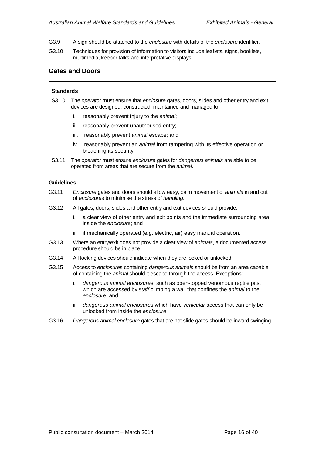- G3.9 A sign should be attached to the *enclosure* with details of the *enclosure* identifier.
- G3.10 Techniques for provision of information to visitors include leaflets, signs, booklets, multimedia, keeper talks and interpretative displays.

### **Gates and Doors**

#### **Standards**

- S3.10 The *operator* must ensure that *enclosure* gates, doors, slides and other entry and exit devices are designed, constructed, maintained and managed to:
	- i. reasonably prevent injury to the *animal*;
	- ii. reasonably prevent unauthorised entry;
	- iii. reasonably prevent *animal* escape; and
	- iv. reasonably prevent an *animal* from tampering with its effective operation or breaching its security.
- S3.11 The *operator* must ensure *enclosure* gates for *dangerous animals* are able to be operated from areas that are secure from the *animal*.

- G3.11 *Enclosure* gates and doors should allow easy, calm movement of *animals* in and out of *enclosure*s to minimise the stress of *handling*.
- G3.12 All gates, doors, slides and other entry and exit devices should provide:
	- i. a clear view of other entry and exit points and the immediate surrounding area inside the *enclosure*; and
	- ii. if mechanically operated (e.g. electric, air) easy manual operation.
- G3.13 Where an entry/exit does not provide a clear view of *animals*, a documented access procedure should be in place.
- G3.14 All locking devices should indicate when they are locked or unlocked.
- G3.15 Access to *enclosure*s containing *dangerous animals* should be from an area capable of containing the *animal* should it escape through the access. Exceptions:
	- i. *dangerous animal enclosure*s, such as open-topped venomous reptile pits, which are accessed by *staff* climbing a wall that confines the *animal* to the *enclosure*; and
	- ii. *dangerous animal enclosure*s which have *vehicular* access that can only be unlocked from inside the *enclosure*.
- G3.16 *Dangerous animal enclosure* gates that are not slide gates should be inward swinging.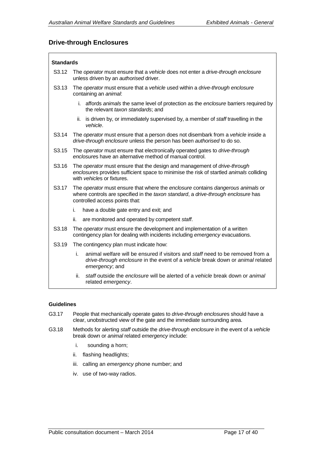## **Drive-through Enclosures**

#### **Standards**

| S3.12             | The operator must ensure that a vehicle does not enter a drive-through enclosure<br>unless driven by an <i>authorised</i> driver.                                                                      |  |  |
|-------------------|--------------------------------------------------------------------------------------------------------------------------------------------------------------------------------------------------------|--|--|
| S3.13             | The operator must ensure that a vehicle used within a drive-through enclosure<br>containing an animal:                                                                                                 |  |  |
|                   | i. affords animals the same level of protection as the enclosure barriers required by<br>the relevant taxon standards; and                                                                             |  |  |
|                   | is driven by, or immediately supervised by, a member of <i>staff</i> travelling in the<br>ii.<br>vehicle.                                                                                              |  |  |
| S <sub>3.14</sub> | The operator must ensure that a person does not disembark from a vehicle inside a<br>drive-through enclosure unless the person has been authorised to do so.                                           |  |  |
| S3.15             | The operator must ensure that electronically operated gates to drive-through<br>enclosures have an alternative method of manual control.                                                               |  |  |
| S <sub>3.16</sub> | The operator must ensure that the design and management of drive-through<br>enclosures provides sufficient space to minimise the risk of startled animals colliding<br>with vehicles or fixtures.      |  |  |
| S3.17             | The operator must ensure that where the enclosure contains dangerous animals or<br>where controls are specified in the taxon standard, a drive-through enclosure has<br>controlled access points that: |  |  |
|                   | i.<br>have a double gate entry and exit; and                                                                                                                                                           |  |  |
|                   | ii.<br>are monitored and operated by competent staff.                                                                                                                                                  |  |  |
| S <sub>3.18</sub> | The operator must ensure the development and implementation of a written<br>contingency plan for dealing with incidents including emergency evacuations.                                               |  |  |
| S3.19             | The contingency plan must indicate how:                                                                                                                                                                |  |  |
|                   | i.<br>animal welfare will be ensured if visitors and staff need to be removed from a<br>drive-through enclosure in the event of a vehicle break down or animal related<br>emergency; and               |  |  |
|                   | staff outside the enclosure will be alerted of a vehicle break down or animal<br>ii.<br>related emergency.                                                                                             |  |  |

- G3.17 People that mechanically operate gates to *drive-through enclosure*s should have a clear, unobstructed view of the gate and the immediate surrounding area.
- G3.18 Methods for alerting *staff* outside the *drive-through enclosure* in the event of a *vehicle* break down or *animal* related *emergency* include:
	- i. sounding a horn;
	- ii. flashing headlights;
	- iii. calling an *emergency* phone number; and
	- iv. use of two-way radios.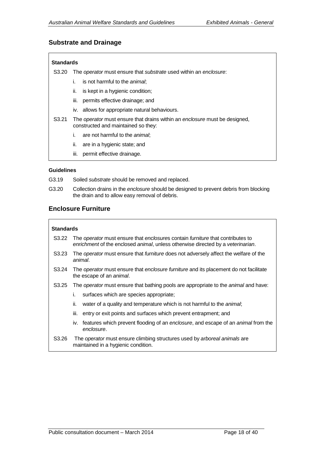### **Substrate and Drainage**

#### **Standards**

S3.20 The *operator* must ensure that *substrate* used within an *enclosure*:

- i. is not harmful to the *animal*;
- ii. is kept in a hygienic condition;
- iii. permits effective drainage; and
- iv. allows for appropriate natural behaviours.
- S3.21 The *operator* must ensure that drains within an *enclosure* must be designed, constructed and maintained so they:
	- i. are not harmful to the *animal*;
	- ii. are in a hygienic state; and
	- iii. permit effective drainage.

#### **Guidelines**

- G3.19 Soiled *substrate* should be removed and replaced.
- G3.20 Collection drains in the *enclosure* should be designed to prevent debris from blocking the drain and to allow easy removal of debris.

### **Enclosure Furniture**

#### **Standards**

- S3.22 The *operator* must ensure that *enclosure*s contain *furniture* that contributes to *enrichment* of the enclosed *animal*, unless otherwise directed by a *veterinarian*.
- S3.23 The *operator* must ensure that *furniture* does not adversely affect the welfare of the *animal*.
- S3.24 The *operator* must ensure that *enclosure furniture* and its placement do not facilitate the escape of an *animal*.
- S3.25 The *operator* must ensure that bathing pools are appropriate to the *animal* and have:
	- i. surfaces which are species appropriate;
	- ii. water of a quality and temperature which is not harmful to the *animal*;
	- iii. entry or exit points and surfaces which prevent entrapment; and
	- iv. features which prevent flooding of an *enclosure*, and escape of an *animal* from the *enclosure*.
- S3.26 The *operator* must ensure climbing structures used by *arboreal animals* are maintained in a hygienic condition.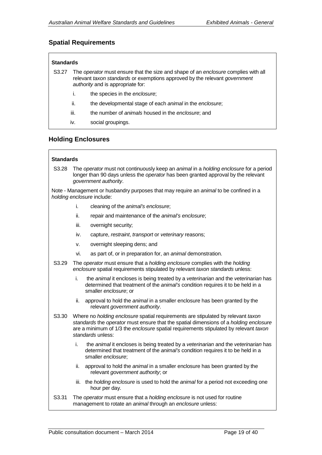# **Spatial Requirements**

| <b>Standards</b> |                                                                                                                                                                                                                     |                                                          |  |  |  |
|------------------|---------------------------------------------------------------------------------------------------------------------------------------------------------------------------------------------------------------------|----------------------------------------------------------|--|--|--|
| S3.27            | The <i>operator</i> must ensure that the size and shape of an <i>enclosure</i> complies with all<br>relevant taxon standards or exemptions approved by the relevant government<br>authority and is appropriate for: |                                                          |  |  |  |
|                  | İ.                                                                                                                                                                                                                  | the species in the enclosure;                            |  |  |  |
|                  | ii.                                                                                                                                                                                                                 | the developmental stage of each animal in the enclosure; |  |  |  |
|                  | iii.                                                                                                                                                                                                                | the number of animals housed in the enclosure; and       |  |  |  |
|                  | iv.                                                                                                                                                                                                                 | social groupings.                                        |  |  |  |

# **Holding Enclosures**

#### **Standards**

S3.28 The *operator* must not continuously keep an *animal* in a *holding enclosure* for a period longer than 90 days unless the *operator* has been granted approval by the relevant *government authority*.

Note - Management or husbandry purposes that may require an *animal* to be confined in a *holding enclosure* include:

- i. cleaning of the *animal's enclosure*;
- ii. repair and maintenance of the *animal's enclosure*;
- iii. overnight security;
- iv. capture, *restraint*, *transport* or *veterinary* reasons;
- v. overnight sleeping dens; and
- vi. as part of, or in preparation for, an *animal* demonstration.
- S3.29 The *operator* must ensure that a *holding enclosure* complies with the *holding enclosure* spatial requirements stipulated by relevant *taxon standards* unless:
	- i. the *animal* it encloses is being treated by a *veterinarian* and the *veterinarian* has determined that treatment of the *animal's* condition requires it to be held in a smaller *enclosure*; or
	- ii. approval to hold the *animal* in a smaller enclosure has been granted by the relevant *government authority*.
- S3.30 Where no *holding enclosure* spatial requirements are stipulated by relevant *taxon standards* the *operator* must ensure that the spatial dimensions of a *holding enclosure* are a minimum of 1/3 the *enclosure* spatial requirements stipulated by relevant *taxon standards* unless:
	- i. the *animal* it encloses is being treated by a *veterinarian* and the *veterinarian* has determined that treatment of the *animal's* condition requires it to be held in a smaller *enclosure*;
	- ii. approval to hold the *animal* in a smaller enclosure has been granted by the relevant *government authority*; or
	- iii. the *holding enclosure* is used to hold the *animal* for a period not exceeding one hour per day.
- S3.31 The *operator* must ensure that a *holding enclosure* is not used for routine management to rotate an *animal* through an *enclosure* unless: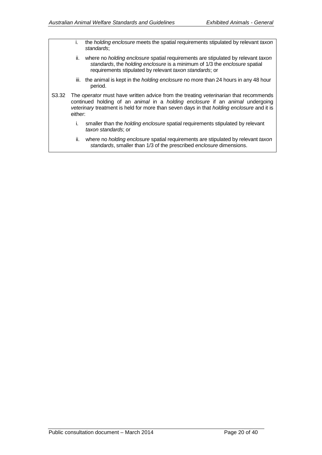|                  | İ.  | the holding enclosure meets the spatial requirements stipulated by relevant taxon<br>standards;                                                                                                                                                                           |
|------------------|-----|---------------------------------------------------------------------------------------------------------------------------------------------------------------------------------------------------------------------------------------------------------------------------|
|                  | ii. | where no <i>holding enclosure</i> spatial requirements are stipulated by relevant taxon<br>standards, the holding enclosure is a minimum of 1/3 the enclosure spatial<br>requirements stipulated by relevant taxon standards; or                                          |
|                  |     | iii. the animal is kept in the <i>holding enclosure</i> no more than 24 hours in any 48 hour<br>period.                                                                                                                                                                   |
| S3.32<br>either: |     | The operator must have written advice from the treating veterinarian that recommends<br>continued holding of an animal in a holding enclosure if an animal undergoing<br>veterinary treatment is held for more than seven days in that <i>holding enclosure</i> and it is |
|                  | İ.  | smaller than the <i>holding enclosure</i> spatial requirements stipulated by relevant<br>taxon standards; or                                                                                                                                                              |
|                  | ii. | where no <i>holding enclosure</i> spatial requirements are stipulated by relevant taxon<br>standards, smaller than 1/3 of the prescribed enclosure dimensions.                                                                                                            |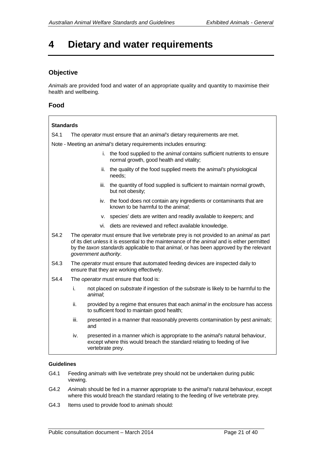# <span id="page-21-0"></span>**4 Dietary and water requirements**

# **Objective**

*Animals* are provided food and water of an appropriate quality and quantity to maximise their health and wellbeing.

### **Food**

| <b>Standards</b>                                                                                                              |                                                                         |                       |                                                                                                                                                                                                                                                                                  |  |
|-------------------------------------------------------------------------------------------------------------------------------|-------------------------------------------------------------------------|-----------------------|----------------------------------------------------------------------------------------------------------------------------------------------------------------------------------------------------------------------------------------------------------------------------------|--|
| S4.1                                                                                                                          | The operator must ensure that an animal's dietary requirements are met. |                       |                                                                                                                                                                                                                                                                                  |  |
|                                                                                                                               |                                                                         |                       | Note - Meeting an <i>animal's</i> dietary requirements includes ensuring:                                                                                                                                                                                                        |  |
| i. the food supplied to the <i>animal</i> contains sufficient nutrients to ensure<br>normal growth, good health and vitality; |                                                                         |                       |                                                                                                                                                                                                                                                                                  |  |
|                                                                                                                               |                                                                         | ii.                   | the quality of the food supplied meets the animal's physiological<br>needs;                                                                                                                                                                                                      |  |
|                                                                                                                               |                                                                         | iii.                  | the quantity of food supplied is sufficient to maintain normal growth,<br>but not obesity;                                                                                                                                                                                       |  |
|                                                                                                                               |                                                                         |                       | iv. the food does not contain any ingredients or contaminants that are<br>known to be harmful to the animal;                                                                                                                                                                     |  |
|                                                                                                                               |                                                                         | v.                    | species' diets are written and readily available to keepers; and                                                                                                                                                                                                                 |  |
|                                                                                                                               |                                                                         |                       | vi. diets are reviewed and reflect available knowledge.                                                                                                                                                                                                                          |  |
| S4.2                                                                                                                          |                                                                         | government authority. | The operator must ensure that live vertebrate prey is not provided to an animal as part<br>of its diet unless it is essential to the maintenance of the animal and is either permitted<br>by the taxon standards applicable to that animal, or has been approved by the relevant |  |
| S4.3                                                                                                                          |                                                                         |                       | The operator must ensure that automated feeding devices are inspected daily to<br>ensure that they are working effectively.                                                                                                                                                      |  |
| S4.4                                                                                                                          | The operator must ensure that food is:                                  |                       |                                                                                                                                                                                                                                                                                  |  |
|                                                                                                                               | i.                                                                      | animal;               | not placed on <i>substrate</i> if ingestion of the <i>substrate</i> is likely to be harmful to the                                                                                                                                                                               |  |
|                                                                                                                               | ii.                                                                     |                       | provided by a regime that ensures that each animal in the enclosure has access<br>to sufficient food to maintain good health;                                                                                                                                                    |  |
|                                                                                                                               | iii.                                                                    | and                   | presented in a manner that reasonably prevents contamination by pest animals;                                                                                                                                                                                                    |  |
|                                                                                                                               | iv.                                                                     | vertebrate prey.      | presented in a manner which is appropriate to the animal's natural behaviour,<br>except where this would breach the standard relating to feeding of live                                                                                                                         |  |
|                                                                                                                               |                                                                         |                       |                                                                                                                                                                                                                                                                                  |  |

- G4.1 Feeding *animals* with live vertebrate prey should not be undertaken during public viewing.
- G4.2 *Animals* should be fed in a manner appropriate to the a*nimal's* natural behaviour, except where this would breach the standard relating to the feeding of live vertebrate prey.
- G4.3 Items used to provide food to *animals* should: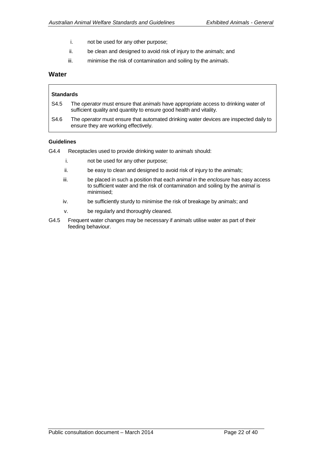- i. not be used for any other purpose;
- ii. be clean and designed to avoid risk of injury to the *animals*; and
- iii. minimise the risk of contamination and soiling by the *animals*.

### **Water**

# **Standards**

- S4.5 The *operator* must ensure that *animals* have appropriate access to drinking water of sufficient quality and quantity to ensure good health and vitality.
- S4.6 The *operator* must ensure that automated drinking water devices are inspected daily to ensure they are working effectively.

- G4.4 Receptacles used to provide drinking water to *animals* should:
	- i. not be used for any other purpose;
	- ii. be easy to clean and designed to avoid risk of injury to the *animals*;
	- iii. be placed in such a position that each *animal* in the *enclosure* has easy access to sufficient water and the risk of contamination and soiling by the *animal* is minimised;
	- iv. be sufficiently sturdy to minimise the risk of breakage by *animals*; and
	- v. be regularly and thoroughly cleaned.
- G4.5 Frequent water changes may be necessary if *animals* utilise water as part of their feeding behaviour.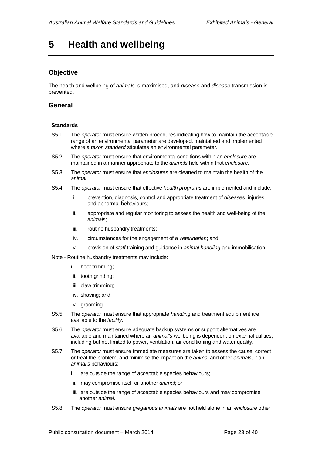# <span id="page-23-0"></span>**5 Health and wellbeing**

# **Objective**

The health and wellbeing of *animals* is maximised, and *disease* and *disease* transmission is prevented.

### **General**

| <b>Standards</b> |                                                                                                                                                                                                                                                                  |                                                                                                                                                                 |  |
|------------------|------------------------------------------------------------------------------------------------------------------------------------------------------------------------------------------------------------------------------------------------------------------|-----------------------------------------------------------------------------------------------------------------------------------------------------------------|--|
| S5.1             | The operator must ensure written procedures indicating how to maintain the acceptable<br>range of an environmental parameter are developed, maintained and implemented<br>where a taxon standard stipulates an environmental parameter.                          |                                                                                                                                                                 |  |
| S5.2             |                                                                                                                                                                                                                                                                  | The operator must ensure that environmental conditions within an enclosure are<br>maintained in a manner appropriate to the animals held within that enclosure. |  |
| S5.3             | animal.                                                                                                                                                                                                                                                          | The operator must ensure that enclosures are cleaned to maintain the health of the                                                                              |  |
| S5.4             |                                                                                                                                                                                                                                                                  | The operator must ensure that effective health programs are implemented and include:                                                                            |  |
|                  | i.                                                                                                                                                                                                                                                               | prevention, diagnosis, control and appropriate treatment of diseases, injuries<br>and abnormal behaviours;                                                      |  |
|                  | ii.                                                                                                                                                                                                                                                              | appropriate and regular monitoring to assess the health and well-being of the<br>animals;                                                                       |  |
|                  | iii.                                                                                                                                                                                                                                                             | routine husbandry treatments;                                                                                                                                   |  |
|                  | iv.                                                                                                                                                                                                                                                              | circumstances for the engagement of a veterinarian; and                                                                                                         |  |
|                  | v.                                                                                                                                                                                                                                                               | provision of staff training and guidance in animal handling and immobilisation.                                                                                 |  |
|                  |                                                                                                                                                                                                                                                                  | Note - Routine husbandry treatments may include:                                                                                                                |  |
|                  | i.                                                                                                                                                                                                                                                               | hoof trimming;                                                                                                                                                  |  |
|                  |                                                                                                                                                                                                                                                                  | ii. tooth grinding;                                                                                                                                             |  |
|                  |                                                                                                                                                                                                                                                                  | iii. claw trimming;                                                                                                                                             |  |
|                  |                                                                                                                                                                                                                                                                  | iv. shaving; and                                                                                                                                                |  |
|                  |                                                                                                                                                                                                                                                                  | v. grooming.                                                                                                                                                    |  |
| S <sub>5.5</sub> | The operator must ensure that appropriate handling and treatment equipment are<br>available to the facility.                                                                                                                                                     |                                                                                                                                                                 |  |
| S5.6             | The operator must ensure adequate backup systems or support alternatives are<br>available and maintained where an animal's wellbeing is dependent on external utilities,<br>including but not limited to power, ventilation, air conditioning and water quality. |                                                                                                                                                                 |  |
| S5.7             | The operator must ensure immediate measures are taken to assess the cause, correct<br>or treat the problem, and minimise the impact on the animal and other animals, if an<br><i>animal's</i> behaviours:                                                        |                                                                                                                                                                 |  |
|                  | i.                                                                                                                                                                                                                                                               | are outside the range of acceptable species behaviours;                                                                                                         |  |
|                  | ii.                                                                                                                                                                                                                                                              | may compromise itself or another animal; or                                                                                                                     |  |
|                  |                                                                                                                                                                                                                                                                  | iii. are outside the range of acceptable species behaviours and may compromise<br>another animal.                                                               |  |
| S5.8             |                                                                                                                                                                                                                                                                  | The operator must ensure gregarious animals are not held alone in an enclosure other                                                                            |  |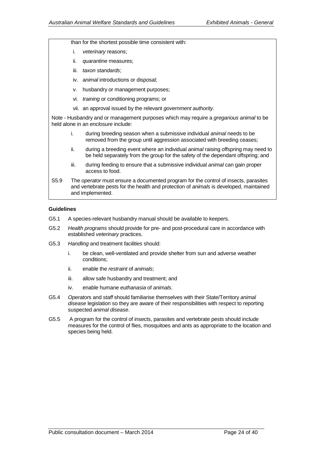than for the shortest possible time consistent with:

- i. *veterinary* reasons;
- ii. *quarantine* measures;
- iii. *taxon standards*;
- iv. a*nimal* introductions or disposal;
- v. husbandry or management purposes;
- vi. *training* or conditioning programs; or
- vii. an approval issued by the relevant *government authority.*

Note - Husbandry and or management purposes which may require a *gregarious animal* to be held alone in an *enclosure* include:

- i. during breeding season when a submissive individual *animal* needs to be removed from the group until aggression associated with breeding ceases;
- ii. during a breeding event where an individual *animal* raising offspring may need to be held separately from the group for the safety of the dependant offspring; and
- iii. during feeding to ensure that a submissive individual *animal* can gain proper access to food.
- S5.9 The *operator* must ensure a documented program for the control of insects, parasites and vertebrate pests for the health and protection of *animals* is developed, maintained and implemented.

- G5.1 A species-relevant husbandry manual should be available to *keeper*s.
- G5.2 *Health programs* should provide for pre- and post-procedural care in accordance with established *veterinary* practices.
- G5.3 *Handling* and treatment *facilities* should:
	- i. be clean, well-ventilated and provide shelter from sun and adverse weather conditions;
	- ii. enable the *restraint* of *animals*;
	- iii. allow safe husbandry and treatment; and
	- iv. enable humane *euthanasia* of *animals*.
- G5.4 *Operator*s and *staff* should familiarise themselves with their State/Territory *animal disease* legislation so they are aware of their responsibilities with respect to reporting suspected *animal disease*.
- G5.5 A program for the control of insects, parasites and vertebrate pests should include measures for the control of flies, mosquitoes and ants as appropriate to the location and species being held.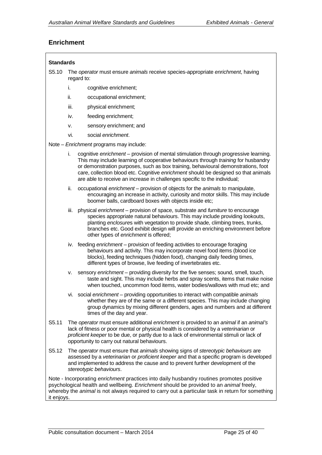# **Enrichment**

| <b>Standards</b>                                                                                                                                                                                                                                                                                      |                                                                                                                                                                                                                                                                                                                                                                                                                                                  |  |                                                                                                                                                                                                                                                                                                                                                                            |  |
|-------------------------------------------------------------------------------------------------------------------------------------------------------------------------------------------------------------------------------------------------------------------------------------------------------|--------------------------------------------------------------------------------------------------------------------------------------------------------------------------------------------------------------------------------------------------------------------------------------------------------------------------------------------------------------------------------------------------------------------------------------------------|--|----------------------------------------------------------------------------------------------------------------------------------------------------------------------------------------------------------------------------------------------------------------------------------------------------------------------------------------------------------------------------|--|
| S5.10                                                                                                                                                                                                                                                                                                 | The operator must ensure animals receive species-appropriate enrichment, having<br>regard to:                                                                                                                                                                                                                                                                                                                                                    |  |                                                                                                                                                                                                                                                                                                                                                                            |  |
|                                                                                                                                                                                                                                                                                                       | i.                                                                                                                                                                                                                                                                                                                                                                                                                                               |  | cognitive enrichment;                                                                                                                                                                                                                                                                                                                                                      |  |
|                                                                                                                                                                                                                                                                                                       | ii.                                                                                                                                                                                                                                                                                                                                                                                                                                              |  | occupational enrichment;                                                                                                                                                                                                                                                                                                                                                   |  |
|                                                                                                                                                                                                                                                                                                       | iii.                                                                                                                                                                                                                                                                                                                                                                                                                                             |  | physical enrichment;                                                                                                                                                                                                                                                                                                                                                       |  |
|                                                                                                                                                                                                                                                                                                       | iv.                                                                                                                                                                                                                                                                                                                                                                                                                                              |  | feeding enrichment;                                                                                                                                                                                                                                                                                                                                                        |  |
|                                                                                                                                                                                                                                                                                                       | ۷.                                                                                                                                                                                                                                                                                                                                                                                                                                               |  | sensory enrichment; and                                                                                                                                                                                                                                                                                                                                                    |  |
|                                                                                                                                                                                                                                                                                                       | vi.                                                                                                                                                                                                                                                                                                                                                                                                                                              |  | social enrichment.                                                                                                                                                                                                                                                                                                                                                         |  |
|                                                                                                                                                                                                                                                                                                       |                                                                                                                                                                                                                                                                                                                                                                                                                                                  |  | Note - Enrichment programs may include:                                                                                                                                                                                                                                                                                                                                    |  |
|                                                                                                                                                                                                                                                                                                       | cognitive enrichment - provision of mental stimulation through progressive learning.<br>i.<br>This may include learning of cooperative behaviours through <i>training</i> for husbandry<br>or demonstration purposes, such as box training, behavioural demonstrations, foot<br>care, collection blood etc. Cognitive enrichment should be designed so that animals<br>are able to receive an increase in challenges specific to the individual; |  |                                                                                                                                                                                                                                                                                                                                                                            |  |
|                                                                                                                                                                                                                                                                                                       | ii.                                                                                                                                                                                                                                                                                                                                                                                                                                              |  | occupational enrichment - provision of objects for the animals to manipulate,<br>encouraging an increase in activity, curiosity and motor skills. This may include<br>boomer balls, cardboard boxes with objects inside etc;                                                                                                                                               |  |
|                                                                                                                                                                                                                                                                                                       | iii.                                                                                                                                                                                                                                                                                                                                                                                                                                             |  | physical enrichment – provision of space, substrate and furniture to encourage<br>species appropriate natural behaviours. This may include providing lookouts,<br>planting enclosures with vegetation to provide shade, climbing trees, trunks,<br>branches etc. Good exhibit design will provide an enriching environment before<br>other types of enrichment is offered; |  |
|                                                                                                                                                                                                                                                                                                       |                                                                                                                                                                                                                                                                                                                                                                                                                                                  |  | iv. feeding enrichment - provision of feeding activities to encourage foraging<br>behaviours and activity. This may incorporate novel food items (blood ice<br>blocks), feeding techniques (hidden food), changing daily feeding times,<br>different types of browse, live feeding of invertebrates etc.                                                                   |  |
|                                                                                                                                                                                                                                                                                                       | ۷.                                                                                                                                                                                                                                                                                                                                                                                                                                               |  | sensory enrichment - providing diversity for the five senses; sound, smell, touch,<br>taste and sight. This may include herbs and spray scents, items that make noise<br>when touched, uncommon food items, water bodies/wallows with mud etc; and                                                                                                                         |  |
|                                                                                                                                                                                                                                                                                                       |                                                                                                                                                                                                                                                                                                                                                                                                                                                  |  | vi. social enrichment – providing opportunities to interact with compatible animals<br>whether they are of the same or a different species. This may include changing<br>group dynamics by mixing different genders, ages and numbers and at different<br>times of the day and year.                                                                                       |  |
| S5.11                                                                                                                                                                                                                                                                                                 | The operator must ensure additional enrichment is provided to an animal if an animal's<br>lack of fitness or poor mental or physical health is considered by a veterinarian or<br>proficient keeper to be due, or partly due to a lack of environmental stimuli or lack of<br>opportunity to carry out natural behaviours.                                                                                                                       |  |                                                                                                                                                                                                                                                                                                                                                                            |  |
| S5.12                                                                                                                                                                                                                                                                                                 | The operator must ensure that animals showing signs of stereotypic behaviours are<br>assessed by a veterinarian or proficient keeper and that a specific program is developed<br>and implemented to address the cause and to prevent further development of the<br>stereotypic behaviours.                                                                                                                                                       |  |                                                                                                                                                                                                                                                                                                                                                                            |  |
| Note - Incorporating enrichment practices into daily husbandry routines promotes positive<br>psychological health and wellbeing. Enrichment should be provided to an animal freely,<br>whereby the animal is not always required to carry out a particular task in return for something<br>it enjoys. |                                                                                                                                                                                                                                                                                                                                                                                                                                                  |  |                                                                                                                                                                                                                                                                                                                                                                            |  |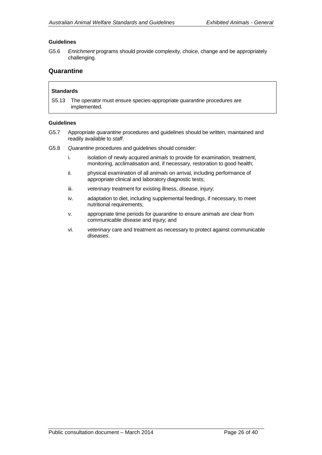### **Guidelines**

G5.6 *Enrichment* programs should provide complexity, choice, change and be appropriately challenging.

#### **Quarantine**

#### **Standards**

S5.13 The *operator* must ensure species-appropriate *quarantine* procedures are implemented.

- G5.7 Appropriate *quarantine* procedures and guidelines should be written, maintained and readily available to *staff*.
- G5.8 *Quarantine* procedures and guidelines should consider:
	- i. isolation of newly acquired *animals* to provide for examination, treatment, monitoring, acclimatisation and, if necessary, restoration to good health;
	- ii. physical examination of all *animals* on arrival, including performance of appropriate clinical and laboratory diagnostic tests;
	- iii. *veterinary* treatment for existing illness, *disease*, injury;
	- iv. adaptation to diet, including supplemental feedings, if necessary, to meet nutritional requirements;
	- v. appropriate time periods for *quarantine* to ensure *animals* are clear from communicable *disease* and injury; and
	- vi. *veterinary* care and treatment as necessary to protect against communicable *diseases*.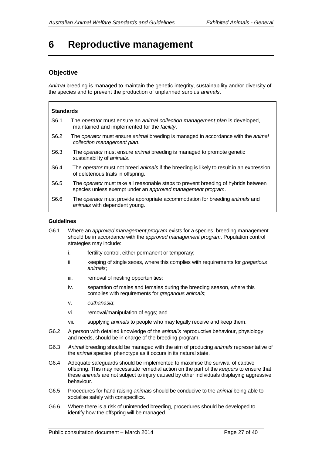# <span id="page-27-0"></span>**6 Reproductive management**

# **Objective**

*Animal* breeding is managed to maintain the genetic integrity, sustainability and/or diversity of the species and to prevent the production of unplanned surplus *animals*.

| <b>Standards</b> |                                                                                                                                                   |  |  |
|------------------|---------------------------------------------------------------------------------------------------------------------------------------------------|--|--|
| S <sub>6.1</sub> | The <i>operator</i> must ensure an <i>animal collection management plan</i> is developed,<br>maintained and implemented for the facility.         |  |  |
| S <sub>6.2</sub> | The operator must ensure animal breeding is managed in accordance with the animal<br>collection management plan.                                  |  |  |
| S <sub>6.3</sub> | The <i>operator</i> must ensure <i>animal</i> breeding is managed to promote genetic<br>sustainability of animals.                                |  |  |
| S <sub>6.4</sub> | The <i>operator</i> must not breed <i>animals</i> if the breeding is likely to result in an expression<br>of deleterious traits in offspring.     |  |  |
| S <sub>6.5</sub> | The operator must take all reasonable steps to prevent breeding of hybrids between<br>species unless exempt under an approved management program. |  |  |
| S <sub>6.6</sub> | The operator must provide appropriate accommodation for breeding animals and<br>animals with dependent young.                                     |  |  |

- G6.1 Where an *approved management program* exists for a species, breeding management should be in accordance with the *approved management program*. Population control strategies may include:
	- i. fertility control, either permanent or temporary;
	- ii. keeping of single sexes, where this complies with requirements for *gregarious animals*;
	- iii. removal of nesting opportunities;
	- iv. separation of males and females during the breeding season, where this complies with requirements for *gregarious animals*;
	- v. *euthanasia*;
	- vi. removal/manipulation of eggs; and
	- vii. supplying *animals* to people who may legally receive and keep them.
- G6.2 A person with detailed knowledge of the *animal's* reproductive behaviour, physiology and needs, should be in charge of the breeding program.
- G6.3 *Animal* breeding should be managed with the aim of producing *animals* representative of the *animal* species' phenotype as it occurs in its natural state.
- G6.4 Adequate safeguards should be implemented to maximise the survival of captive offspring. This may necessitate remedial action on the part of the *keeper*s to ensure that these *animals* are not subject to injury caused by other individuals displaying aggressive behaviour.
- G6.5 Procedures for hand raising *animals* should be conducive to the *animal* being able to socialise safely with conspecifics.
- G6.6 Where there is a risk of unintended breeding, procedures should be developed to identify how the offspring will be managed.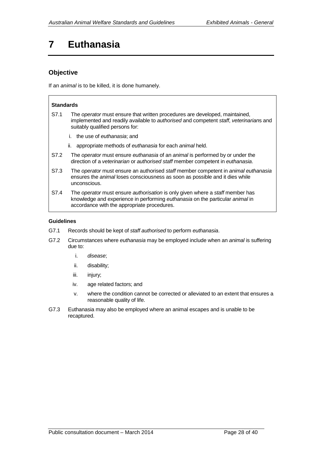# <span id="page-28-0"></span>**7 Euthanasia**

# **Objective**

If an *animal* is to be killed, it is done humanely.

#### **Standards**

- S7.1 The *operator* must ensure that written procedures are developed, maintained, implemented and readily available to *authorised* and competent *staff*, *veterinarian*s and suitably qualified persons for:
	- i. the use of *euthanasia*; and
	- ii. appropriate methods of *euthanasia* for each *animal* held.
- S7.2 The *operator* must ensure *euthanasia* of an *animal* is performed by or under the direction of a *veterinarian* or *authorised staff* member competent in *euthanasia*.
- S7.3 The *operator* must ensure an authorised *staff* member competent in *animal euthanasia* ensures the *animal* loses consciousness as soon as possible and it dies while unconscious.
- S7.4 The *operator* must ensure *authorisation* is only given where a *staff* member has knowledge and experience in performing *euthanasia* on the particular *animal* in accordance with the appropriate procedures.

- G7.1 Records should be kept of *staff authorised* to perform *euthanasia*.
- G7.2 Circumstances where *euthanasia* may be employed include when an *animal* is suffering due to:
	- i. *disease*;
	- ii. disability;
	- iii. injury;
	- iv. age related factors; and
	- v. where the condition cannot be corrected or alleviated to an extent that ensures a reasonable quality of life.
- G7.3 Euthanasia may also be employed where an animal escapes and is unable to be recaptured.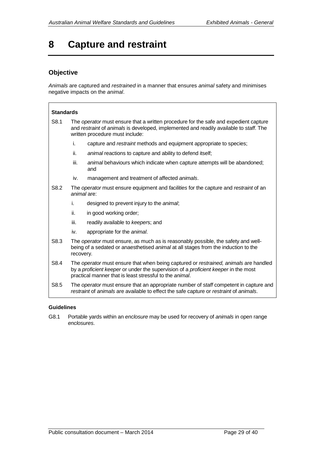# <span id="page-29-0"></span>**8 Capture and restraint**

# **Objective**

*Animals* are captured and *restrained* in a manner that ensures *animal* safety and minimises negative impacts on the *animal*.

| <b>Standards</b> |                                                                                                                                                                                                                                               |                                                                                       |  |  |
|------------------|-----------------------------------------------------------------------------------------------------------------------------------------------------------------------------------------------------------------------------------------------|---------------------------------------------------------------------------------------|--|--|
| S8.1             | The <i>operator</i> must ensure that a written procedure for the safe and expedient capture<br>and restraint of animals is developed, implemented and readily available to staff. The<br>written procedure must include:                      |                                                                                       |  |  |
|                  | i.                                                                                                                                                                                                                                            | capture and restraint methods and equipment appropriate to species;                   |  |  |
|                  | ii.                                                                                                                                                                                                                                           | animal reactions to capture and ability to defend itself;                             |  |  |
|                  | iii.                                                                                                                                                                                                                                          | animal behaviours which indicate when capture attempts will be abandoned;<br>and      |  |  |
|                  | iv.                                                                                                                                                                                                                                           | management and treatment of affected animals.                                         |  |  |
| S8.2             | The operator must ensure equipment and facilities for the capture and restraint of an<br>animal are:                                                                                                                                          |                                                                                       |  |  |
|                  | i.                                                                                                                                                                                                                                            | designed to prevent injury to the animal;                                             |  |  |
|                  | ii.                                                                                                                                                                                                                                           | in good working order;                                                                |  |  |
|                  | iii.                                                                                                                                                                                                                                          | readily available to keepers; and                                                     |  |  |
|                  | iv.                                                                                                                                                                                                                                           | appropriate for the animal.                                                           |  |  |
| S8.3             | The operator must ensure, as much as is reasonably possible, the safety and well-<br>being of a sedated or anaesthetised animal at all stages from the induction to the<br>recovery.                                                          |                                                                                       |  |  |
| S8.4             | The operator must ensure that when being captured or restrained, animals are handled<br>by a proficient keeper or under the supervision of a proficient keeper in the most<br>practical manner that is least stressful to the <i>animal</i> . |                                                                                       |  |  |
| S8.5             |                                                                                                                                                                                                                                               | The operator must ensure that an appropriate number of staff competent in capture and |  |  |

#### **Guidelines**

G8.1 Portable yards within an *enclosure* may be used for recovery of *animals* in open range *enclosures*.

*restraint* of *animals* are available to effect the safe capture or *restraint* of *animals*.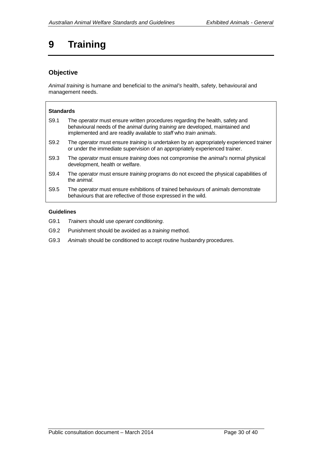# <span id="page-30-0"></span>**9 Training**

# **Objective**

*Animal training* is humane and beneficial to the *animal's* health, safety, behavioural and management needs.

### **Standards**

- S9.1 The *operator* must ensure written procedures regarding the health, safety and behavioural needs of the *animal* during *training* are developed, maintained and implemented and are readily available to *staff* who *train animals*.
- S9.2 The *operator* must ensure *training* is undertaken by an appropriately experienced trainer or under the immediate supervision of an appropriately experienced trainer.
- S9.3 The *operator* must ensure *training* does not compromise the *animal's* normal physical development, health or welfare.
- S9.4 The *operator* must ensure *training* programs do not exceed the physical capabilities of the *animal*.
- S9.5 The *operator* must ensure exhibitions of trained behaviours of *animals* demonstrate behaviours that are reflective of those expressed in the wild.

- G9.1 *Trainers* should use *operant conditioning*.
- G9.2 Punishment should be avoided as a *training* method.
- G9.3 *Animals* should be conditioned to accept routine husbandry procedures.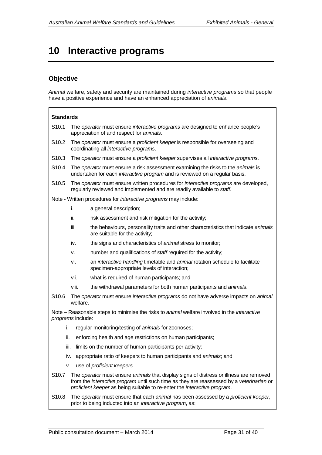# <span id="page-31-0"></span>**10 Interactive programs**

# **Objective**

*Animal* welfare, safety and security are maintained during *interactive programs* so that people have a positive experience and have an enhanced appreciation of *animals*.

| <b>Standards</b>                                                                                                 |      |                                                                                                                            |                                                                                                                                                                                                                                                                |  |  |
|------------------------------------------------------------------------------------------------------------------|------|----------------------------------------------------------------------------------------------------------------------------|----------------------------------------------------------------------------------------------------------------------------------------------------------------------------------------------------------------------------------------------------------------|--|--|
| S <sub>10.1</sub>                                                                                                |      | The operator must ensure interactive programs are designed to enhance people's<br>appreciation of and respect for animals. |                                                                                                                                                                                                                                                                |  |  |
| S <sub>10.2</sub>                                                                                                |      |                                                                                                                            | The operator must ensure a proficient keeper is responsible for overseeing and<br>coordinating all interactive programs.                                                                                                                                       |  |  |
| S <sub>10.3</sub>                                                                                                |      |                                                                                                                            | The operator must ensure a proficient keeper supervises all interactive programs.                                                                                                                                                                              |  |  |
| S10.4                                                                                                            |      |                                                                                                                            | The operator must ensure a risk assessment examining the risks to the animals is<br>undertaken for each <i>interactive program</i> and is reviewed on a regular basis.                                                                                         |  |  |
| S <sub>10.5</sub>                                                                                                |      |                                                                                                                            | The operator must ensure written procedures for interactive programs are developed,<br>regularly reviewed and implemented and are readily available to staff.                                                                                                  |  |  |
|                                                                                                                  |      |                                                                                                                            | Note - Written procedures for interactive programs may include:                                                                                                                                                                                                |  |  |
|                                                                                                                  | i.   |                                                                                                                            | a general description;                                                                                                                                                                                                                                         |  |  |
|                                                                                                                  | ii.  |                                                                                                                            | risk assessment and risk mitigation for the activity;                                                                                                                                                                                                          |  |  |
|                                                                                                                  |      | iii.                                                                                                                       | the behaviours, personality traits and other characteristics that indicate animals<br>are suitable for the activity;                                                                                                                                           |  |  |
|                                                                                                                  |      | iv.                                                                                                                        | the signs and characteristics of <i>animal</i> stress to monitor;                                                                                                                                                                                              |  |  |
|                                                                                                                  |      | v.                                                                                                                         | number and qualifications of staff required for the activity;                                                                                                                                                                                                  |  |  |
|                                                                                                                  |      | vi.                                                                                                                        | an interactive handling timetable and animal rotation schedule to facilitate<br>specimen-appropriate levels of interaction;                                                                                                                                    |  |  |
|                                                                                                                  |      | vii.                                                                                                                       | what is required of human participants; and                                                                                                                                                                                                                    |  |  |
|                                                                                                                  |      | viii.                                                                                                                      | the withdrawal parameters for both human participants and <i>animals</i> .                                                                                                                                                                                     |  |  |
| S <sub>10.6</sub><br>welfare.                                                                                    |      | The operator must ensure interactive programs do not have adverse impacts on animal                                        |                                                                                                                                                                                                                                                                |  |  |
| Note – Reasonable steps to minimise the risks to animal welfare involved in the interactive<br>programs include: |      |                                                                                                                            |                                                                                                                                                                                                                                                                |  |  |
|                                                                                                                  | i.   |                                                                                                                            | regular monitoring/testing of animals for zoonoses;                                                                                                                                                                                                            |  |  |
|                                                                                                                  | ii.  |                                                                                                                            | enforcing health and age restrictions on human participants;                                                                                                                                                                                                   |  |  |
|                                                                                                                  | iii. | limits on the number of human participants per activity;                                                                   |                                                                                                                                                                                                                                                                |  |  |
|                                                                                                                  | İV.  |                                                                                                                            | appropriate ratio of keepers to human participants and animals; and                                                                                                                                                                                            |  |  |
|                                                                                                                  | v.   |                                                                                                                            | use of <i>proficient</i> keepers.                                                                                                                                                                                                                              |  |  |
| S <sub>10.7</sub>                                                                                                |      |                                                                                                                            | The operator must ensure animals that display signs of distress or illness are removed<br>from the interactive program until such time as they are reassessed by a veterinarian or<br>proficient keeper as being suitable to re-enter the interactive program. |  |  |
| S <sub>10.8</sub>                                                                                                |      |                                                                                                                            | The operator must ensure that each animal has been assessed by a proficient keeper,<br>prior to being inducted into an interactive program, as:                                                                                                                |  |  |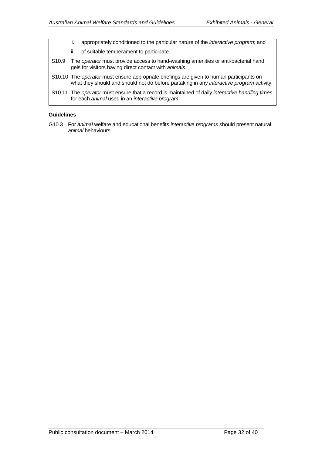- i. appropriately conditioned to the particular nature of the *interactive program*; and
- ii. of suitable temperament to participate.
- S10.9 The *operator* must provide access to hand-washing amenities or anti-bacterial hand gels for visitors having direct contact with *animals*.
- S10.10 The *operator* must ensure appropriate briefings are given to human participants on what they should and should not do before partaking in any *interactive program* activity.
- S10.11 The *operator* must ensure that a record is maintained of daily *interactive handling times* for each *animal* used in an *interactive program*.

### **Guidelines**

G10.3 For *animal* welfare and educational benefits *interactive programs* should present natural *animal* behaviours.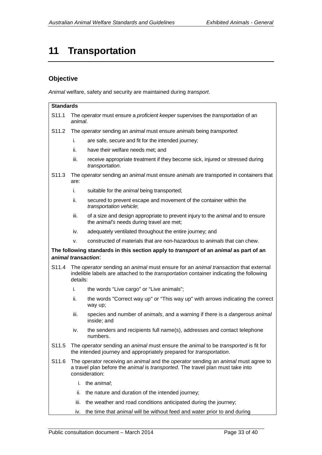# <span id="page-33-0"></span>**11 Transportation**

# **Objective**

*Animal* welfare, safety and security are maintained during *transport*.

| <b>Standards</b>  |                                                                                                                                                                                                 |                                                                                                                                                           |  |  |
|-------------------|-------------------------------------------------------------------------------------------------------------------------------------------------------------------------------------------------|-----------------------------------------------------------------------------------------------------------------------------------------------------------|--|--|
| S11.1             | The operator must ensure a proficient keeper supervises the transportation of an<br>animal.                                                                                                     |                                                                                                                                                           |  |  |
|                   |                                                                                                                                                                                                 | S11.2 The operator sending an animal must ensure animals being transported:                                                                               |  |  |
|                   | i.                                                                                                                                                                                              | are safe, secure and fit for the intended journey;                                                                                                        |  |  |
|                   | ii.                                                                                                                                                                                             | have their welfare needs met; and                                                                                                                         |  |  |
|                   | iii.                                                                                                                                                                                            | receive appropriate treatment if they become sick, injured or stressed during<br>transportation.                                                          |  |  |
| S <sub>11.3</sub> | are:                                                                                                                                                                                            | The operator sending an animal must ensure animals are transported in containers that                                                                     |  |  |
|                   | i.                                                                                                                                                                                              | suitable for the animal being transported;                                                                                                                |  |  |
|                   | ii.                                                                                                                                                                                             | secured to prevent escape and movement of the container within the<br>transportation vehicle;                                                             |  |  |
|                   | iii.                                                                                                                                                                                            | of a size and design appropriate to prevent injury to the <i>animal</i> and to ensure<br>the <i>animal's</i> needs during travel are met;                 |  |  |
|                   | iv.                                                                                                                                                                                             | adequately ventilated throughout the entire journey; and                                                                                                  |  |  |
|                   | v.                                                                                                                                                                                              | constructed of materials that are non-hazardous to animals that can chew.                                                                                 |  |  |
|                   |                                                                                                                                                                                                 | The following standards in this section apply to <i>transport</i> of an <i>animal</i> as part of an                                                       |  |  |
|                   |                                                                                                                                                                                                 | animal transaction:                                                                                                                                       |  |  |
| S11.4             | The operator sending an animal must ensure for an animal transaction that external<br>indelible labels are attached to the <i>transportation</i> container indicating the following<br>details: |                                                                                                                                                           |  |  |
|                   | i.                                                                                                                                                                                              | the words "Live cargo" or "Live animals";                                                                                                                 |  |  |
|                   | ii.                                                                                                                                                                                             | the words "Correct way up" or "This way up" with arrows indicating the correct<br>way up;                                                                 |  |  |
|                   | iii.                                                                                                                                                                                            | species and number of animals, and a warning if there is a dangerous animal<br>inside; and                                                                |  |  |
|                   | iv.                                                                                                                                                                                             | the senders and recipients full name(s), addresses and contact telephone<br>numbers.                                                                      |  |  |
| S11.5             |                                                                                                                                                                                                 | The operator sending an animal must ensure the animal to be transported is fit for<br>the intended journey and appropriately prepared for transportation. |  |  |
| S11.6             | The operator receiving an animal and the operator sending an animal must agree to<br>a travel plan before the animal is transported. The travel plan must take into<br>consideration:           |                                                                                                                                                           |  |  |
|                   |                                                                                                                                                                                                 | i. the animal;                                                                                                                                            |  |  |
|                   | ii.                                                                                                                                                                                             | the nature and duration of the intended journey;                                                                                                          |  |  |
|                   | iii.                                                                                                                                                                                            | the weather and road conditions anticipated during the journey;                                                                                           |  |  |
|                   | iv.                                                                                                                                                                                             | the time that animal will be without feed and water prior to and during                                                                                   |  |  |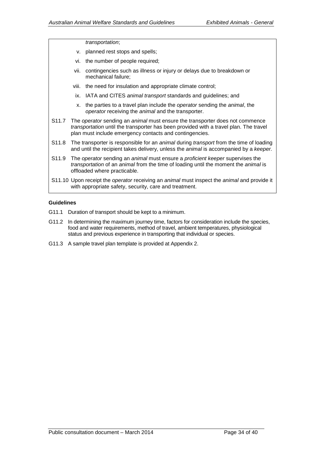#### *transportation*;

- v. planned rest stops and spells;
- vi. the number of people required;
- vii. contingencies such as illness or injury or delays due to breakdown or mechanical failure;
- viii. the need for insulation and appropriate climate control;
- ix. IATA and CITES *animal transport* standards and guidelines; and
- x. the parties to a travel plan include the *operator* sending the *animal*, the *operator* receiving the *animal* and the transporter.
- S11.7 The *operator* sending an *animal* must ensure the transporter does not commence *transportation* until the transporter has been provided with a travel plan. The travel plan must include emergency contacts and contingencies.
- S11.8 The transporter is responsible for an *animal* during *transport* from the time of loading and until the recipient takes delivery, unless the *animal* is accompanied by a *keeper.*
- S11.9 The *operator* sending an *animal* must ensure a *proficient keeper* supervises the *transportation* of an *animal* from the time of loading until the moment the *animal* is offloaded where practicable.
- S11.10 Upon receipt the *operator* receiving an *animal* must inspect the *animal* and provide it with appropriate safety, security, care and treatment.

- G11.1 Duration of transport should be kept to a minimum.
- G11.2 In determining the maximum journey time, factors for consideration include the species, food and water requirements, method of travel, ambient temperatures, physiological status and previous experience in transporting that individual or species.
- G11.3 A sample travel plan template is provided at Appendix 2.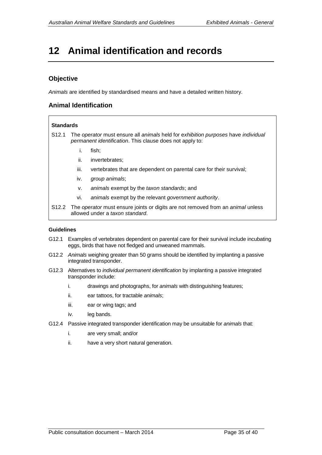# <span id="page-35-0"></span>**12 Animal identification and records**

# **Objective**

*Animals* are identified by standardised means and have a detailed written history.

### **Animal Identification**

#### **Standards**

- S12.1 The *operator* must ensure all *animals* held for e*xhibition purposes* have *individual permanent identification*. This clause does not apply to:
	- i. fish;
	- ii. invertebrates;
	- iii. vertebrates that are dependent on parental care for their survival;
	- iv. *group animals*;
	- v. *animals* exempt by the *taxon standards*; and
	- vi. *animals* exempt by the relevant *government authority*.
- S12.2 The *operator* must ensure joints or digits are not removed from an *animal* unless allowed under a *taxon standard*.

- G12.1 Examples of vertebrates dependent on parental care for their survival include incubating eggs, birds that have not fledged and unweaned mammals.
- G12.2 *Animals* weighing greater than 50 grams should be identified by implanting a passive integrated transponder.
- G12.3 Alternatives to *individual permanent identification* by implanting a passive integrated transponder include:
	- i. drawings and photographs, for *animals* with distinguishing features;
	- ii. ear tattoos, for tractable *animals*;
	- iii. ear or wing tags; and
	- iv. leg bands.
- G12.4 Passive integrated transponder identification may be unsuitable for *animals* that:
	- i. are very small; and/or
	- ii. have a very short natural generation.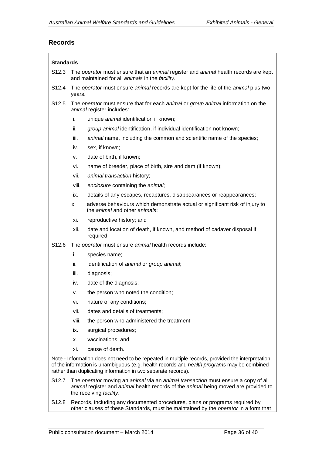### **Records**

| <b>Standards</b>                                                                                                                                                                                                                                                |                                                                                                                                                                                                     |                                                                                                               |  |  |  |  |
|-----------------------------------------------------------------------------------------------------------------------------------------------------------------------------------------------------------------------------------------------------------------|-----------------------------------------------------------------------------------------------------------------------------------------------------------------------------------------------------|---------------------------------------------------------------------------------------------------------------|--|--|--|--|
| S <sub>12.3</sub>                                                                                                                                                                                                                                               | The operator must ensure that an animal register and animal health records are kept<br>and maintained for all animals in the facility.                                                              |                                                                                                               |  |  |  |  |
| S <sub>12.4</sub>                                                                                                                                                                                                                                               |                                                                                                                                                                                                     | The operator must ensure animal records are kept for the life of the animal plus two<br>years.                |  |  |  |  |
| S <sub>12.5</sub>                                                                                                                                                                                                                                               |                                                                                                                                                                                                     | The operator must ensure that for each animal or group animal information on the<br>animal register includes: |  |  |  |  |
|                                                                                                                                                                                                                                                                 | i.                                                                                                                                                                                                  | unique animal identification if known;                                                                        |  |  |  |  |
|                                                                                                                                                                                                                                                                 | ii.                                                                                                                                                                                                 | group animal identification, if individual identification not known;                                          |  |  |  |  |
|                                                                                                                                                                                                                                                                 | iii.                                                                                                                                                                                                | animal name, including the common and scientific name of the species;                                         |  |  |  |  |
|                                                                                                                                                                                                                                                                 | iv.                                                                                                                                                                                                 | sex, if known;                                                                                                |  |  |  |  |
|                                                                                                                                                                                                                                                                 | ν.                                                                                                                                                                                                  | date of birth, if known;                                                                                      |  |  |  |  |
|                                                                                                                                                                                                                                                                 | vi.                                                                                                                                                                                                 | name of breeder, place of birth, sire and dam (if known);                                                     |  |  |  |  |
|                                                                                                                                                                                                                                                                 | vii.                                                                                                                                                                                                | animal transaction history;                                                                                   |  |  |  |  |
|                                                                                                                                                                                                                                                                 | viii.                                                                                                                                                                                               | enclosure containing the animal;                                                                              |  |  |  |  |
|                                                                                                                                                                                                                                                                 | ix.                                                                                                                                                                                                 | details of any escapes, recaptures, disappearances or reappearances;                                          |  |  |  |  |
|                                                                                                                                                                                                                                                                 | х.                                                                                                                                                                                                  | adverse behaviours which demonstrate actual or significant risk of injury to<br>the animal and other animals; |  |  |  |  |
|                                                                                                                                                                                                                                                                 | xi.                                                                                                                                                                                                 | reproductive history; and                                                                                     |  |  |  |  |
|                                                                                                                                                                                                                                                                 | xii.                                                                                                                                                                                                | date and location of death, if known, and method of cadaver disposal if<br>required.                          |  |  |  |  |
| S <sub>12.6</sub>                                                                                                                                                                                                                                               |                                                                                                                                                                                                     | The operator must ensure animal health records include:                                                       |  |  |  |  |
|                                                                                                                                                                                                                                                                 | i.                                                                                                                                                                                                  | species name;                                                                                                 |  |  |  |  |
|                                                                                                                                                                                                                                                                 | ii.                                                                                                                                                                                                 | identification of animal or group animal;                                                                     |  |  |  |  |
|                                                                                                                                                                                                                                                                 | iii.                                                                                                                                                                                                | diagnosis;                                                                                                    |  |  |  |  |
|                                                                                                                                                                                                                                                                 | iv.                                                                                                                                                                                                 | date of the diagnosis;                                                                                        |  |  |  |  |
|                                                                                                                                                                                                                                                                 | ٧.                                                                                                                                                                                                  | the person who noted the condition;                                                                           |  |  |  |  |
|                                                                                                                                                                                                                                                                 | vi.                                                                                                                                                                                                 | nature of any conditions;                                                                                     |  |  |  |  |
|                                                                                                                                                                                                                                                                 | vii.                                                                                                                                                                                                | dates and details of treatments;                                                                              |  |  |  |  |
|                                                                                                                                                                                                                                                                 | viii.                                                                                                                                                                                               | the person who administered the treatment;                                                                    |  |  |  |  |
|                                                                                                                                                                                                                                                                 | ix.                                                                                                                                                                                                 | surgical procedures;                                                                                          |  |  |  |  |
|                                                                                                                                                                                                                                                                 | х.                                                                                                                                                                                                  | vaccinations; and                                                                                             |  |  |  |  |
|                                                                                                                                                                                                                                                                 | xi.                                                                                                                                                                                                 | cause of death.                                                                                               |  |  |  |  |
| Note - Information does not need to be repeated in multiple records, provided the interpretation<br>of the information is unambiguous (e.g. health records and health programs may be combined<br>rather than duplicating information in two separate records). |                                                                                                                                                                                                     |                                                                                                               |  |  |  |  |
| S <sub>12.7</sub>                                                                                                                                                                                                                                               | The operator moving an animal via an animal transaction must ensure a copy of all<br>animal register and animal health records of the animal being moved are provided to<br>the receiving facility. |                                                                                                               |  |  |  |  |

S12.8 Records, including any documented procedures, plans or programs required by other clauses of these Standards, must be maintained by the *operator* in a form that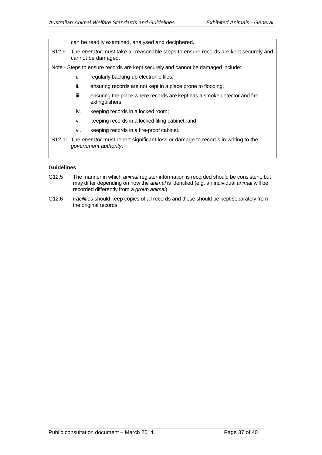can be readily examined, analysed and deciphered.

S12.9 The *operator* must take all reasonable steps to ensure records are kept securely and cannot be damaged.

Note - Steps to ensure records are kept securely and cannot be damaged include:

- i. regularly backing-up electronic files;
- ii. ensuring records are not kept in a place prone to flooding;
- iii. ensuring the place where records are kept has a smoke detector and fire extinguishers;
- iv. keeping records in a locked room;
- v. keeping records in a locked filing cabinet; and
- vi. keeping records in a fire-proof cabinet.
- S12.10 The *operator* must report significant loss or damage to records in writing to the *government authority*.

- G12.5 The manner in which *animal* register information is recorded should be consistent, but may differ depending on how the *animal* is identified (e.g. an individual *animal* will be recorded differently from a *group animal*).
- G12.6 *Facilities* should keep copies of all records and these should be kept separately from the original records.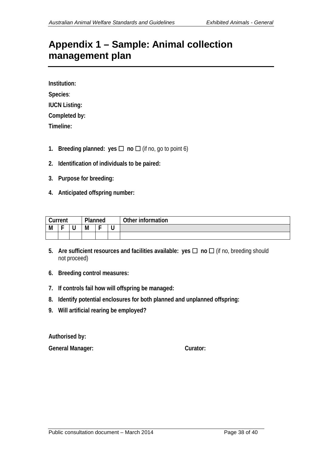# <span id="page-38-0"></span>**Appendix 1 – Sample: Animal collection management plan**

**Institution: Species**: **IUCN Listing: Completed by: Timeline:**

- **1. Breeding planned:** yes  $\Box$  **no**  $\Box$  (if no, go to point 6)
- **2. Identification of individuals to be paired:**
- **3. Purpose for breeding:**
- **4. Anticipated offspring number:**

| Current |   |   | Planned |   |   | Other information |
|---------|---|---|---------|---|---|-------------------|
| M       | - | ີ | M       | - | u |                   |
|         |   |   |         |   |   |                   |

- **5.** Are sufficient resources and facilities available:  $\mathsf{yes} \square$  no  $\square$  (if no, breeding should not proceed)
- **6. Breeding control measures:**
- **7. If controls fail how will offspring be managed:**
- **8. Identify potential enclosures for both planned and unplanned offspring:**
- **9. Will artificial rearing be employed?**

**Authorised by:**

**General Manager: Curator:**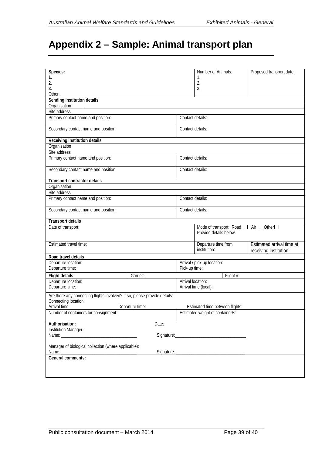# <span id="page-39-0"></span>**Appendix 2 – Sample: Animal transport plan**

| Species:                                             |  |                                                                           |                                                                              | Number of Animals:               |           | Proposed transport date:  |  |
|------------------------------------------------------|--|---------------------------------------------------------------------------|------------------------------------------------------------------------------|----------------------------------|-----------|---------------------------|--|
| 1.                                                   |  |                                                                           |                                                                              | 1.                               |           |                           |  |
| 2.                                                   |  |                                                                           |                                                                              | 2.                               |           |                           |  |
| 3.                                                   |  |                                                                           |                                                                              | 3.                               |           |                           |  |
| Other:                                               |  |                                                                           |                                                                              |                                  |           |                           |  |
| Sending institution details                          |  |                                                                           |                                                                              |                                  |           |                           |  |
| Organisation                                         |  |                                                                           |                                                                              |                                  |           |                           |  |
| Site address                                         |  |                                                                           |                                                                              |                                  |           |                           |  |
| Primary contact name and position:                   |  |                                                                           | Contact details:                                                             |                                  |           |                           |  |
| Secondary contact name and position:                 |  |                                                                           | Contact details:                                                             |                                  |           |                           |  |
| <b>Receiving institution details</b>                 |  |                                                                           |                                                                              |                                  |           |                           |  |
| Organisation                                         |  |                                                                           |                                                                              |                                  |           |                           |  |
| Site address                                         |  |                                                                           |                                                                              |                                  |           |                           |  |
| Primary contact name and position:                   |  |                                                                           |                                                                              | Contact details:                 |           |                           |  |
| Secondary contact name and position:                 |  |                                                                           | Contact details:                                                             |                                  |           |                           |  |
| <b>Transport contractor details</b>                  |  |                                                                           |                                                                              |                                  |           |                           |  |
| Organisation                                         |  |                                                                           |                                                                              |                                  |           |                           |  |
| Site address                                         |  |                                                                           |                                                                              |                                  |           |                           |  |
| Primary contact name and position:                   |  |                                                                           | Contact details:                                                             |                                  |           |                           |  |
|                                                      |  |                                                                           |                                                                              |                                  |           |                           |  |
| Secondary contact name and position:                 |  |                                                                           | Contact details:                                                             |                                  |           |                           |  |
| <b>Transport details</b>                             |  |                                                                           |                                                                              |                                  |           |                           |  |
| Date of transport:                                   |  |                                                                           | Mode of transport: Road<br>Air $\Box$ Other $\Box$<br>Provide details below. |                                  |           |                           |  |
| Estimated travel time:                               |  |                                                                           |                                                                              | Departure time from              |           | Estimated arrival time at |  |
|                                                      |  |                                                                           |                                                                              | institution:                     |           | receiving institution:    |  |
| Road travel details                                  |  |                                                                           |                                                                              |                                  |           |                           |  |
| Departure location:                                  |  |                                                                           |                                                                              |                                  |           |                           |  |
| Departure time:                                      |  |                                                                           | Arrival / pick-up location:<br>Pick-up time:                                 |                                  |           |                           |  |
|                                                      |  |                                                                           |                                                                              |                                  |           |                           |  |
| <b>Flight details</b>                                |  | Carrier:                                                                  |                                                                              |                                  | Flight #: |                           |  |
| Departure location:<br>Departure time:               |  |                                                                           | Arrival location:                                                            | Arrival time (local):            |           |                           |  |
|                                                      |  | Are there any connecting flights involved? If so, please provide details: |                                                                              |                                  |           |                           |  |
| Connecting location:                                 |  |                                                                           |                                                                              |                                  |           |                           |  |
| Arrival time:                                        |  | Departure time:                                                           |                                                                              | Estimated time between flights:  |           |                           |  |
| Number of containers for consignment:                |  |                                                                           |                                                                              | Estimated weight of container/s: |           |                           |  |
|                                                      |  |                                                                           |                                                                              |                                  |           |                           |  |
| Authorisation:                                       |  | Date:                                                                     |                                                                              |                                  |           |                           |  |
| Institution Manager:                                 |  |                                                                           |                                                                              |                                  |           |                           |  |
|                                                      |  |                                                                           |                                                                              |                                  |           |                           |  |
| Manager of biological collection (where applicable): |  |                                                                           |                                                                              |                                  |           |                           |  |
| Name:                                                |  |                                                                           |                                                                              |                                  |           |                           |  |
| General comments:                                    |  |                                                                           |                                                                              |                                  |           |                           |  |
|                                                      |  |                                                                           |                                                                              |                                  |           |                           |  |
|                                                      |  |                                                                           |                                                                              |                                  |           |                           |  |
|                                                      |  |                                                                           |                                                                              |                                  |           |                           |  |